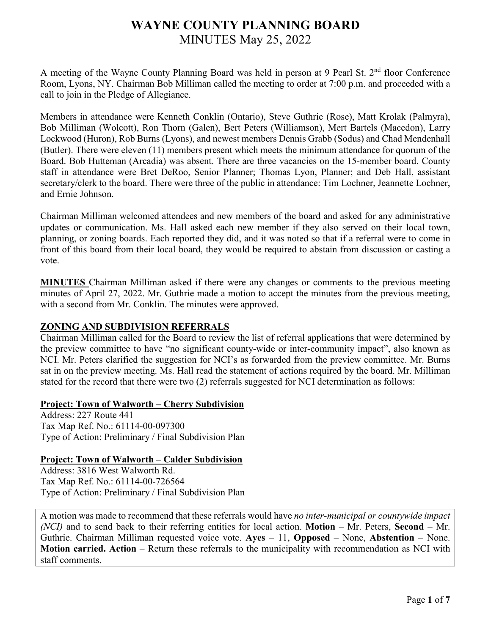# **WAYNE COUNTY PLANNING BOARD** MINUTES May 25, 2022

A meeting of the Wayne County Planning Board was held in person at 9 Pearl St.  $2<sup>nd</sup>$  floor Conference Room, Lyons, NY. Chairman Bob Milliman called the meeting to order at 7:00 p.m. and proceeded with a call to join in the Pledge of Allegiance.

Members in attendance were Kenneth Conklin (Ontario), Steve Guthrie (Rose), Matt Krolak (Palmyra), Bob Milliman (Wolcott), Ron Thorn (Galen), Bert Peters (Williamson), Mert Bartels (Macedon), Larry Lockwood (Huron), Rob Burns (Lyons), and newest members Dennis Grabb (Sodus) and Chad Mendenhall (Butler). There were eleven (11) members present which meets the minimum attendance for quorum of the Board. Bob Hutteman (Arcadia) was absent. There are three vacancies on the 15-member board. County staff in attendance were Bret DeRoo, Senior Planner; Thomas Lyon, Planner; and Deb Hall, assistant secretary/clerk to the board. There were three of the public in attendance: Tim Lochner, Jeannette Lochner, and Ernie Johnson.

Chairman Milliman welcomed attendees and new members of the board and asked for any administrative updates or communication. Ms. Hall asked each new member if they also served on their local town, planning, or zoning boards. Each reported they did, and it was noted so that if a referral were to come in front of this board from their local board, they would be required to abstain from discussion or casting a vote.

**MINUTES** Chairman Milliman asked if there were any changes or comments to the previous meeting minutes of April 27, 2022. Mr. Guthrie made a motion to accept the minutes from the previous meeting, with a second from Mr. Conklin. The minutes were approved.

# **ZONING AND SUBDIVISION REFERRALS**

Chairman Milliman called for the Board to review the list of referral applications that were determined by the preview committee to have "no significant county-wide or inter-community impact", also known as NCI. Mr. Peters clarified the suggestion for NCI's as forwarded from the preview committee. Mr. Burns sat in on the preview meeting. Ms. Hall read the statement of actions required by the board. Mr. Milliman stated for the record that there were two (2) referrals suggested for NCI determination as follows:

### **Project: Town of Walworth – Cherry Subdivision**

Address: 227 Route 441 Tax Map Ref. No.: 61114-00-097300 Type of Action: Preliminary / Final Subdivision Plan

#### **Project: Town of Walworth – Calder Subdivision**

Address: 3816 West Walworth Rd. Tax Map Ref. No.: 61114-00-726564 Type of Action: Preliminary / Final Subdivision Plan

A motion was made to recommend that these referrals would have *no inter-municipal or countywide impact (NCI)* and to send back to their referring entities for local action. **Motion** – Mr. Peters, **Second** – Mr. Guthrie. Chairman Milliman requested voice vote. **Ayes** – 11, **Opposed** – None, **Abstention** – None. **Motion carried. Action** – Return these referrals to the municipality with recommendation as NCI with staff comments.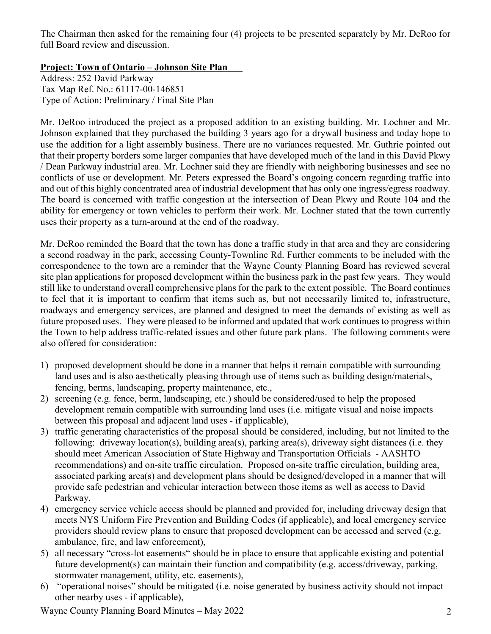The Chairman then asked for the remaining four (4) projects to be presented separately by Mr. DeRoo for full Board review and discussion.

**Project: Town of Ontario – Johnson Site Plan**

Address: 252 David Parkway Tax Map Ref. No.: 61117-00-146851 Type of Action: Preliminary / Final Site Plan

Mr. DeRoo introduced the project as a proposed addition to an existing building. Mr. Lochner and Mr. Johnson explained that they purchased the building 3 years ago for a drywall business and today hope to use the addition for a light assembly business. There are no variances requested. Mr. Guthrie pointed out that their property borders some larger companies that have developed much of the land in this David Pkwy / Dean Parkway industrial area. Mr. Lochner said they are friendly with neighboring businesses and see no conflicts of use or development. Mr. Peters expressed the Board's ongoing concern regarding traffic into and out of this highly concentrated area of industrial development that has only one ingress/egress roadway. The board is concerned with traffic congestion at the intersection of Dean Pkwy and Route 104 and the ability for emergency or town vehicles to perform their work. Mr. Lochner stated that the town currently uses their property as a turn-around at the end of the roadway.

Mr. DeRoo reminded the Board that the town has done a traffic study in that area and they are considering a second roadway in the park, accessing County-Townline Rd. Further comments to be included with the correspondence to the town are a reminder that the Wayne County Planning Board has reviewed several site plan applications for proposed development within the business park in the past few years. They would still like to understand overall comprehensive plans for the park to the extent possible. The Board continues to feel that it is important to confirm that items such as, but not necessarily limited to, infrastructure, roadways and emergency services, are planned and designed to meet the demands of existing as well as future proposed uses. They were pleased to be informed and updated that work continues to progress within the Town to help address traffic-related issues and other future park plans. The following comments were also offered for consideration:

- 1) proposed development should be done in a manner that helps it remain compatible with surrounding land uses and is also aesthetically pleasing through use of items such as building design/materials, fencing, berms, landscaping, property maintenance, etc.,
- 2) screening (e.g. fence, berm, landscaping, etc.) should be considered/used to help the proposed development remain compatible with surrounding land uses (i.e. mitigate visual and noise impacts between this proposal and adjacent land uses - if applicable),
- 3) traffic generating characteristics of the proposal should be considered, including, but not limited to the following: driveway location(s), building area(s), parking area(s), driveway sight distances (i.e. they should meet American Association of State Highway and Transportation Officials - AASHTO recommendations) and on-site traffic circulation. Proposed on-site traffic circulation, building area, associated parking area(s) and development plans should be designed/developed in a manner that will provide safe pedestrian and vehicular interaction between those items as well as access to David Parkway,
- 4) emergency service vehicle access should be planned and provided for, including driveway design that meets NYS Uniform Fire Prevention and Building Codes (if applicable), and local emergency service providers should review plans to ensure that proposed development can be accessed and served (e.g. ambulance, fire, and law enforcement),
- 5) all necessary "cross-lot easements" should be in place to ensure that applicable existing and potential future development(s) can maintain their function and compatibility (e.g. access/driveway, parking, stormwater management, utility, etc. easements),
- 6) "operational noises" should be mitigated (i.e. noise generated by business activity should not impact other nearby uses - if applicable),

Wayne County Planning Board Minutes – May 2022 2012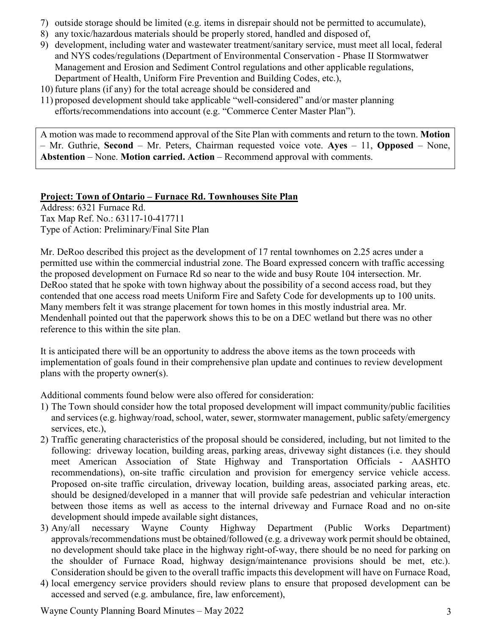- 7) outside storage should be limited (e.g. items in disrepair should not be permitted to accumulate),
- 8) any toxic/hazardous materials should be properly stored, handled and disposed of,
- 9) development, including water and wastewater treatment/sanitary service, must meet all local, federal and NYS codes/regulations (Department of Environmental Conservation - Phase II Stormwatwer Management and Erosion and Sediment Control regulations and other applicable regulations, Department of Health, Uniform Fire Prevention and Building Codes, etc.),
- 10) future plans (if any) for the total acreage should be considered and
- 11) proposed development should take applicable "well-considered" and/or master planning efforts/recommendations into account (e.g. "Commerce Center Master Plan").

A motion was made to recommend approval of the Site Plan with comments and return to the town. **Motion**  – Mr. Guthrie, **Second** – Mr. Peters, Chairman requested voice vote. **Ayes** – 11, **Opposed** – None, **Abstention** – None. **Motion carried. Action** – Recommend approval with comments.

# **Project: Town of Ontario – Furnace Rd. Townhouses Site Plan**

Address: 6321 Furnace Rd. Tax Map Ref. No.: 63117-10-417711 Type of Action: Preliminary/Final Site Plan

Mr. DeRoo described this project as the development of 17 rental townhomes on 2.25 acres under a permitted use within the commercial industrial zone. The Board expressed concern with traffic accessing the proposed development on Furnace Rd so near to the wide and busy Route 104 intersection. Mr. DeRoo stated that he spoke with town highway about the possibility of a second access road, but they contended that one access road meets Uniform Fire and Safety Code for developments up to 100 units. Many members felt it was strange placement for town homes in this mostly industrial area. Mr. Mendenhall pointed out that the paperwork shows this to be on a DEC wetland but there was no other reference to this within the site plan.

It is anticipated there will be an opportunity to address the above items as the town proceeds with implementation of goals found in their comprehensive plan update and continues to review development plans with the property owner(s).

Additional comments found below were also offered for consideration:

- 1) The Town should consider how the total proposed development will impact community/public facilities and services (e.g. highway/road, school, water, sewer, stormwater management, public safety/emergency services, etc.),
- 2) Traffic generating characteristics of the proposal should be considered, including, but not limited to the following: driveway location, building areas, parking areas, driveway sight distances (i.e. they should meet American Association of State Highway and Transportation Officials - AASHTO recommendations), on-site traffic circulation and provision for emergency service vehicle access. Proposed on-site traffic circulation, driveway location, building areas, associated parking areas, etc. should be designed/developed in a manner that will provide safe pedestrian and vehicular interaction between those items as well as access to the internal driveway and Furnace Road and no on-site development should impede available sight distances,
- 3) Any/all necessary Wayne County Highway Department (Public Works Department) approvals/recommendations must be obtained/followed (e.g. a driveway work permit should be obtained, no development should take place in the highway right-of-way, there should be no need for parking on the shoulder of Furnace Road, highway design/maintenance provisions should be met, etc.). Consideration should be given to the overall traffic impacts this development will have on Furnace Road,
- 4) local emergency service providers should review plans to ensure that proposed development can be accessed and served (e.g. ambulance, fire, law enforcement),

Wayne County Planning Board Minutes – May 2022 3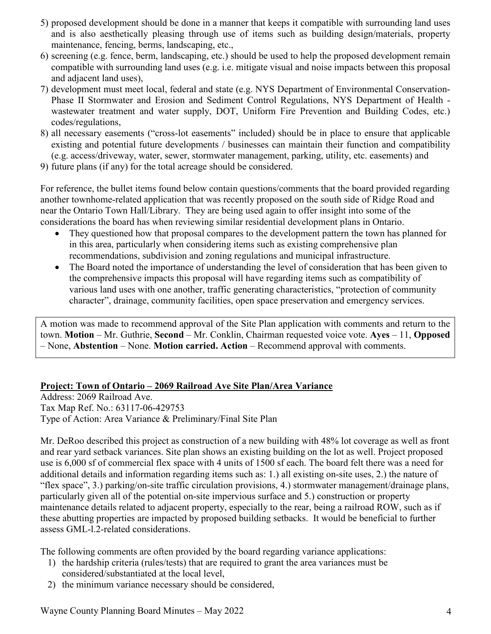- 5) proposed development should be done in a manner that keeps it compatible with surrounding land uses and is also aesthetically pleasing through use of items such as building design/materials, property maintenance, fencing, berms, landscaping, etc.,
- 6) screening (e.g. fence, berm, landscaping, etc.) should be used to help the proposed development remain compatible with surrounding land uses (e.g. i.e. mitigate visual and noise impacts between this proposal and adjacent land uses),
- 7) development must meet local, federal and state (e.g. NYS Department of Environmental Conservation-Phase II Stormwater and Erosion and Sediment Control Regulations, NYS Department of Health wastewater treatment and water supply, DOT, Uniform Fire Prevention and Building Codes, etc.) codes/regulations,
- 8) all necessary easements ("cross-lot easements" included) should be in place to ensure that applicable existing and potential future developments / businesses can maintain their function and compatibility (e.g. access/driveway, water, sewer, stormwater management, parking, utility, etc. easements) and
- 9) future plans (if any) for the total acreage should be considered.

For reference, the bullet items found below contain questions/comments that the board provided regarding another townhome-related application that was recently proposed on the south side of Ridge Road and near the Ontario Town Hall/Library. They are being used again to offer insight into some of the considerations the board has when reviewing similar residential development plans in Ontario.

- They questioned how that proposal compares to the development pattern the town has planned for in this area, particularly when considering items such as existing comprehensive plan recommendations, subdivision and zoning regulations and municipal infrastructure.
- The Board noted the importance of understanding the level of consideration that has been given to the comprehensive impacts this proposal will have regarding items such as compatibility of various land uses with one another, traffic generating characteristics, "protection of community character", drainage, community facilities, open space preservation and emergency services.

A motion was made to recommend approval of the Site Plan application with comments and return to the town. **Motion** – Mr. Guthrie, **Second** – Mr. Conklin, Chairman requested voice vote. **Ayes** – 11, **Opposed** – None, **Abstention** – None. **Motion carried. Action** – Recommend approval with comments.

# **Project: Town of Ontario – 2069 Railroad Ave Site Plan/Area Variance**

Address: 2069 Railroad Ave. Tax Map Ref. No.: 63117-06-429753 Type of Action: Area Variance & Preliminary/Final Site Plan

Mr. DeRoo described this project as construction of a new building with 48% lot coverage as well as front and rear yard setback variances. Site plan shows an existing building on the lot as well. Project proposed use is 6,000 sf of commercial flex space with 4 units of 1500 sf each. The board felt there was a need for additional details and information regarding items such as: 1.) all existing on-site uses, 2.) the nature of "flex space", 3.) parking/on-site traffic circulation provisions, 4.) stormwater management/drainage plans, particularly given all of the potential on-site impervious surface and 5.) construction or property maintenance details related to adjacent property, especially to the rear, being a railroad ROW, such as if these abutting properties are impacted by proposed building setbacks. It would be beneficial to further assess GML-l.2-related considerations.

The following comments are often provided by the board regarding variance applications:

- 1) the hardship criteria (rules/tests) that are required to grant the area variances must be considered/substantiated at the local level,
- 2) the minimum variance necessary should be considered,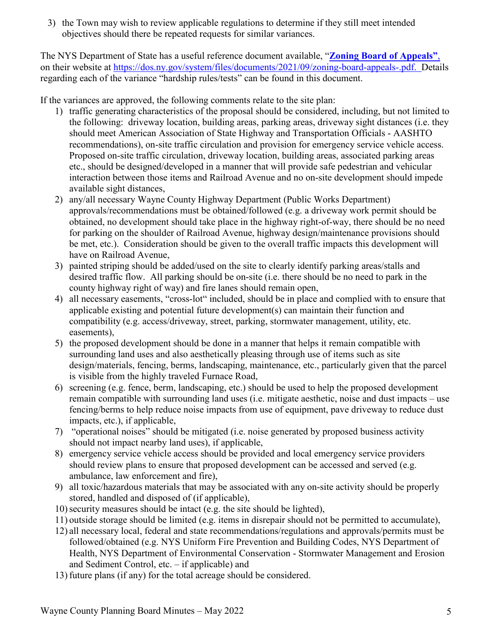3) the Town may wish to review applicable regulations to determine if they still meet intended objectives should there be repeated requests for similar variances.

The NYS Department of State has a useful reference document available, "**[Zoning](http://www.dos.ny.gov/lg/publications/Creating_the_Community_You_Want.pdf) Board of Appeals"**, on their website at [https://dos.ny.gov/system/files/documents/2021/09/zoning-board-appeals-.pdf.](https://dos.ny.gov/system/files/documents/2021/09/zoning-board-appeals-.pdf) Details regarding each of the variance "hardship rules/tests" can be found in this document.

If the variances are approved, the following comments relate to the site plan:

- 1) traffic generating characteristics of the proposal should be considered, including, but not limited to the following: driveway location, building areas, parking areas, driveway sight distances (i.e. they should meet American Association of State Highway and Transportation Officials - AASHTO recommendations), on-site traffic circulation and provision for emergency service vehicle access. Proposed on-site traffic circulation, driveway location, building areas, associated parking areas etc., should be designed/developed in a manner that will provide safe pedestrian and vehicular interaction between those items and Railroad Avenue and no on-site development should impede available sight distances,
- 2) any/all necessary Wayne County Highway Department (Public Works Department) approvals/recommendations must be obtained/followed (e.g. a driveway work permit should be obtained, no development should take place in the highway right-of-way, there should be no need for parking on the shoulder of Railroad Avenue, highway design/maintenance provisions should be met, etc.). Consideration should be given to the overall traffic impacts this development will have on Railroad Avenue,
- 3) painted striping should be added/used on the site to clearly identify parking areas/stalls and desired traffic flow. All parking should be on-site (i.e. there should be no need to park in the county highway right of way) and fire lanes should remain open,
- 4) all necessary easements, "cross-lot" included, should be in place and complied with to ensure that applicable existing and potential future development(s) can maintain their function and compatibility (e.g. access/driveway, street, parking, stormwater management, utility, etc. easements),
- 5) the proposed development should be done in a manner that helps it remain compatible with surrounding land uses and also aesthetically pleasing through use of items such as site design/materials, fencing, berms, landscaping, maintenance, etc., particularly given that the parcel is visible from the highly traveled Furnace Road,
- 6) screening (e.g. fence, berm, landscaping, etc.) should be used to help the proposed development remain compatible with surrounding land uses (i.e. mitigate aesthetic, noise and dust impacts – use fencing/berms to help reduce noise impacts from use of equipment, pave driveway to reduce dust impacts, etc.), if applicable,
- 7) "operational noises" should be mitigated (i.e. noise generated by proposed business activity should not impact nearby land uses), if applicable,
- 8) emergency service vehicle access should be provided and local emergency service providers should review plans to ensure that proposed development can be accessed and served (e.g. ambulance, law enforcement and fire),
- 9) all toxic/hazardous materials that may be associated with any on-site activity should be properly stored, handled and disposed of (if applicable),
- 10)security measures should be intact (e.g. the site should be lighted),
- 11) outside storage should be limited (e.g. items in disrepair should not be permitted to accumulate),
- 12) all necessary local, federal and state recommendations/regulations and approvals/permits must be followed/obtained (e.g. NYS Uniform Fire Prevention and Building Codes, NYS Department of Health, NYS Department of Environmental Conservation - Stormwater Management and Erosion and Sediment Control, etc. – if applicable) and
- 13) future plans (if any) for the total acreage should be considered.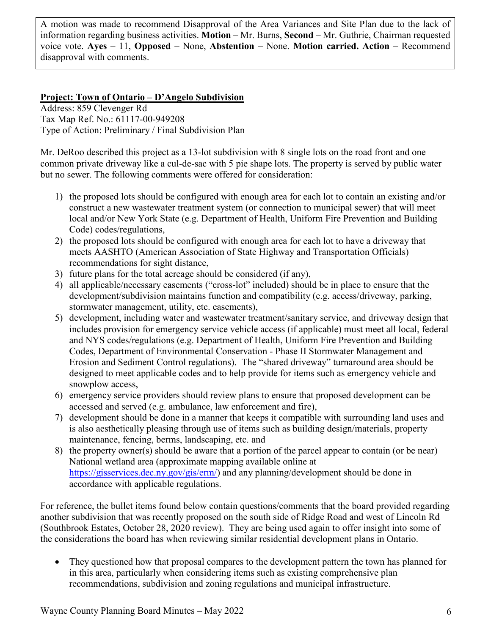A motion was made to recommend Disapproval of the Area Variances and Site Plan due to the lack of information regarding business activities. **Motion** – Mr. Burns, **Second** – Mr. Guthrie, Chairman requested voice vote. **Ayes** – 11, **Opposed** – None, **Abstention** – None. **Motion carried. Action** – Recommend disapproval with comments.

### **Project: Town of Ontario – D'Angelo Subdivision**

Address: 859 Clevenger Rd Tax Map Ref. No.: 61117-00-949208 Type of Action: Preliminary / Final Subdivision Plan

Mr. DeRoo described this project as a 13-lot subdivision with 8 single lots on the road front and one common private driveway like a cul-de-sac with 5 pie shape lots. The property is served by public water but no sewer. The following comments were offered for consideration:

- 1) the proposed lots should be configured with enough area for each lot to contain an existing and/or construct a new wastewater treatment system (or connection to municipal sewer) that will meet local and/or New York State (e.g. Department of Health, Uniform Fire Prevention and Building Code) codes/regulations,
- 2) the proposed lots should be configured with enough area for each lot to have a driveway that meets AASHTO (American Association of State Highway and Transportation Officials) recommendations for sight distance,
- 3) future plans for the total acreage should be considered (if any),
- 4) all applicable/necessary easements ("cross-lot" included) should be in place to ensure that the development/subdivision maintains function and compatibility (e.g. access/driveway, parking, stormwater management, utility, etc. easements),
- 5) development, including water and wastewater treatment/sanitary service, and driveway design that includes provision for emergency service vehicle access (if applicable) must meet all local, federal and NYS codes/regulations (e.g. Department of Health, Uniform Fire Prevention and Building Codes, Department of Environmental Conservation - Phase II Stormwater Management and Erosion and Sediment Control regulations). The "shared driveway" turnaround area should be designed to meet applicable codes and to help provide for items such as emergency vehicle and snowplow access,
- 6) emergency service providers should review plans to ensure that proposed development can be accessed and served (e.g. ambulance, law enforcement and fire),
- 7) development should be done in a manner that keeps it compatible with surrounding land uses and is also aesthetically pleasing through use of items such as building design/materials, property maintenance, fencing, berms, landscaping, etc. and
- 8) the property owner(s) should be aware that a portion of the parcel appear to contain (or be near) National wetland area (approximate mapping available online at [https://gisservices.dec.ny.gov/gis/erm/\)](https://gisservices.dec.ny.gov/gis/erm/) and any planning/development should be done in accordance with applicable regulations.

For reference, the bullet items found below contain questions/comments that the board provided regarding another subdivision that was recently proposed on the south side of Ridge Road and west of Lincoln Rd (Southbrook Estates, October 28, 2020 review). They are being used again to offer insight into some of the considerations the board has when reviewing similar residential development plans in Ontario.

• They questioned how that proposal compares to the development pattern the town has planned for in this area, particularly when considering items such as existing comprehensive plan recommendations, subdivision and zoning regulations and municipal infrastructure.